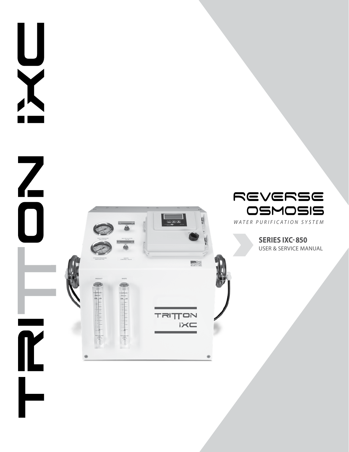

X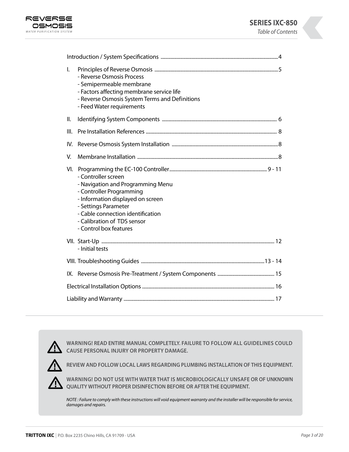



| $\mathsf{I}$ .<br>- Reverse Osmosis Process<br>- Semipermeable membrane<br>- Factors affecting membrane service life<br>- Reverse Osmosis System Terms and Definitions<br>- Feed Water requirements                                                    |  |  |
|--------------------------------------------------------------------------------------------------------------------------------------------------------------------------------------------------------------------------------------------------------|--|--|
| II.                                                                                                                                                                                                                                                    |  |  |
| III.                                                                                                                                                                                                                                                   |  |  |
| IV.                                                                                                                                                                                                                                                    |  |  |
| V.                                                                                                                                                                                                                                                     |  |  |
| VI.<br>- Controller screen<br>- Navigation and Programming Menu<br>- Controller Programming<br>- Information displayed on screen<br>- Settings Parameter<br>- Cable connection identification<br>- Calibration of TDS sensor<br>- Control box features |  |  |
| - Initial tests                                                                                                                                                                                                                                        |  |  |
|                                                                                                                                                                                                                                                        |  |  |
|                                                                                                                                                                                                                                                        |  |  |
|                                                                                                                                                                                                                                                        |  |  |
|                                                                                                                                                                                                                                                        |  |  |



**WARNING! READ ENTIRE MANUAL COMPLETELY. FAILURE TO FOLLOW ALL GUIDELINES COULD CAUSE PERSONAL INJURY OR PROPERTY DAMAGE.**



**REVIEW AND FOLLOW LOCAL LAWS REGARDING PLUMBING INSTALLATION OF THIS EQUIPMENT.**



**WARNING! DO NOT USE WITH WATER THAT IS MICROBIOLOGICALLY UNSAFE OR OF UNKNOWN QUALITY WITHOUT PROPER DISINFECTION BEFORE OR AFTER THE EQUIPMENT.** 

*NOTE : Failure to comply with these instructions will void equipment warranty and the installer will be responsible for service, damages and repairs.*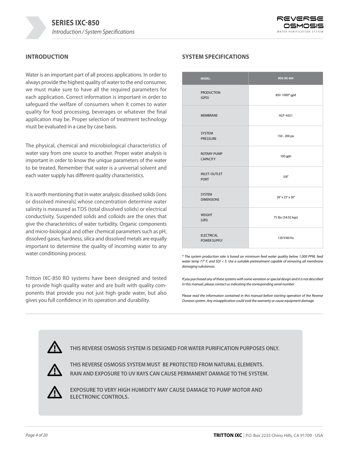

## **INTRODUCTION**

Water is an important part of all process applications. In order to always provide the highest quality of water to the end consumer, we must make sure to have all the required parameters for each application. Correct information is important in order to safeguard the welfare of consumers when it comes to water quality for food processing, beverages or whatever the final application may be. Proper selection of treatment technology must be evaluated in a case by case basis.

The physical, chemical and microbiological characteristics of water vary from one source to another. Proper water analysis is important in order to know the unique parameters of the water to be treated. Remember that water is a universal solvent and each water supply has different quality characteristics.

It is worth mentioning that in water analysis: dissolved solids (ions or dissolved minerals) whose concentration determine water salinity is measured as TDS (total dissolved solids) or electrical conductivity. Suspended solids and colloids are the ones that give the characteristics of water turbidity. Organic components and micro-biological and other chemical parameters such as pH, dissolved gases, hardness, silica and dissolved metals are equally important to determine the quality of incoming water to any water conditioning process.

Tritton IXC-850 RO systems have been designed and tested to provide high quality water and are built with quality components that provide you not just high grade water, but also gives you full confidence in its operation and durability.

## **SYSTEM SPECIFICATIONS**

| <b>MODEL:</b>                            | <b>ROS-IXC-850</b> |
|------------------------------------------|--------------------|
| <b>PRODUCTION</b><br>(GPD)               | 850-1000* gpd      |
| <b>MEMBRANE</b>                          | HLP-4021           |
| SYSTEM<br><b>PRESSURE</b>                | 150 - 200 psi      |
| <b>ROTARY PUMP</b><br><b>CAPACITY</b>    | 100 gph            |
| <b>INLET-OUTLET</b><br><b>PORT</b>       | 3/8"               |
| <b>SYSTEM</b><br><b>DIMENSIONS</b>       | 26" x 23" x 20"    |
| <b>WEIGHT</b><br>(LBS)                   | 75 lbs (34.02 kgs) |
| <b>ELECTRICAL</b><br><b>POWER SUPPLY</b> | 120 V/60 Hz        |

*\* The system production rate is based on minimum feed water quality below 1,000 PPM, feed water temp 77° F, and SDI < 5. Use a suitable pretreatment capable of removing all membrane damaging substances.*

*If you purchased any of these systems with some variation or special design and it is not described in this manual, please contact us indicating the corresponding serial number.*

*Please read the information contained in this manual before starting operation of the Reverse Osmosis system. Any misapplication could void the warranty or cause equipment damage.*



**THIS REVERSE OSMOSIS SYSTEM IS DESIGNED FOR WATER PURIFICATION PURPOSES ONLY.**



**THIS REVERSE OSMOSIS SYSTEM MUST BE PROTECTED FROM NATURAL ELEMENTS. RAIN AND EXPOSURE TO UV RAYS CAN CAUSE PERMANENT DAMAGE TO THE SYSTEM.**



**EXPOSURE TO VERY HIGH HUMIDITY MAY CAUSE DAMAGE TO PUMP MOTOR AND ELECTRONIC CONTROLS.**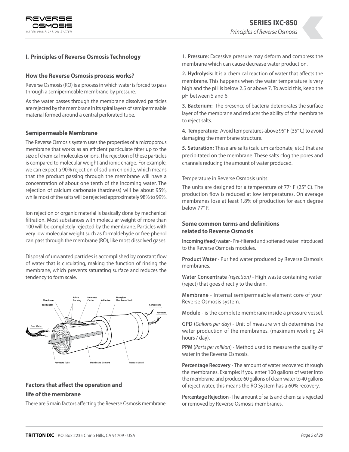

## **I. Principles of Reverse Osmosis Technology**

#### **How the Reverse Osmosis process works?**

Reverse Osmosis (RO) is a process in which water is forced to pass through a semipermeable membrane by pressure.

As the water passes through the membrane dissolved particles are rejected by the membrane in its spiral layers of semipermeable material formed around a central perforated tube.

#### **Semipermeable Membrane**

The Reverse Osmosis system uses the properties of a microporous membrane that works as an efficient particulate filter up to the size of chemical molecules or ions. The rejection of these particles is compared to molecular weight and ionic charge. For example, we can expect a 90% rejection of sodium chloride, which means that the product passing through the membrane will have a concentration of about one tenth of the incoming water. The rejection of calcium carbonate (hardness) will be about 95%, while most of the salts will be rejected approximately 98% to 99%.

Ion rejection or organic material is basically done by mechanical filtration. Most substances with molecular weight of more than 100 will be completely rejected by the membrane. Particles with very low molecular weight such as formaldehyde or free phenol can pass through the membrane (RO), like most dissolved gases.

Disposal of unwanted particles is accomplished by constant flow of water that is circulating, making the function of rinsing the membrane, which prevents saturating surface and reduces the tendency to form scale.



# **Factors that affect the operation and**

#### **life of the membrane**

There are 5 main factors affecting the Reverse Osmosis membrane:

1. **Pressure:** Excessive pressure may deform and compress the membrane which can cause decrease water production.

**2. Hydrolysis:** It is a chemical reaction of water that affects the membrane. This happens when the water temperature is very high and the pH is below 2.5 or above 7. To avoid this, keep the pH between 5 and 6.

**3. Bacterium:** The presence of bacteria deteriorates the surface layer of the membrane and reduces the ability of the membrane to reject salts.

**4. Temperature:** Avoid temperatures above 95° F (35° C) to avoid damaging the membrane structure.

**5. Saturation:** These are salts (calcium carbonate, etc.) that are precipitated on the membrane. These salts clog the pores and channels reducing the amount of water produced.

Temperature in Reverse Osmosis units:

The units are designed for a temperature of 77° F (25° C). The production flow is reduced at low temperatures. On average membranes lose at least 1.8% of production for each degree below 77° F.

## **Some common terms and definitions related to Reverse Osmosis**

**Incoming (feed) water** - Pre-filtered and softened water introduced to the Reverse Osmosis modules.

**Product Water** - Purified water produced by Reverse Osmosis membranes.

**Water Concentrate** *(rejection)* - High waste containing water (reject) that goes directly to the drain.

**Membrane** - Internal semipermeable element core of your Reverse Osmosis system.

**Module** - is the complete membrane inside a pressure vessel.

**GPD** (*Gallons per day*) - Unit of measure which determines the water production of the membranes. (maximum working 24 hours / day).

**PPM** (*Parts per million*) - Method used to measure the quality of water in the Reverse Osmosis.

**Percentage Recovery** - The amount of water recovered through the membranes. Example: If you enter 100 gallons of water into the membrane, and produce 60 gallons of clean water to 40 gallons of reject water, this means the RO System has a 60% recovery.

**Percentage Rejection** - The amount of salts and chemicals rejected or removed by Reverse Osmosis membranes.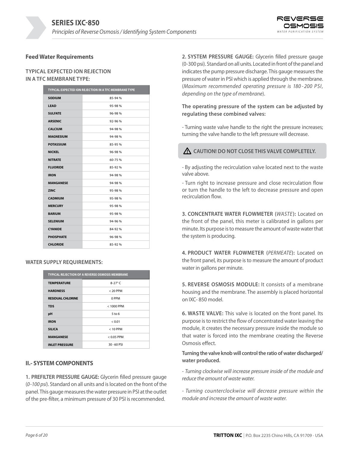

### **Feed Water Requirements**

### **TYPICAL EXPECTED ION REJECTION IN A TFC MEMBRANE TYPE:**

| TYPICAL EXPECTED ION REJECTION IN A TFC MEMBRANE TYPE |        |  |
|-------------------------------------------------------|--------|--|
| <b>SODIUM</b>                                         | 85-94% |  |
| <b>LEAD</b>                                           | 95-98% |  |
| <b>SULFATE</b>                                        | 96-98% |  |
| <b>ARSENIC</b>                                        | 92-96% |  |
| <b>CALCIUM</b>                                        | 94-98% |  |
| <b>MAGNESIUM</b>                                      | 94-98% |  |
| <b>POTASSIUM</b>                                      | 85-95% |  |
| <b>NICKEL</b>                                         | 96-98% |  |
| <b>NITRATE</b>                                        | 60-75% |  |
| <b>FLUORIDE</b>                                       | 85-92% |  |
| <b>IRON</b>                                           | 94-98% |  |
| <b>MANGANESE</b>                                      | 94-98% |  |
| <b>ZINC</b>                                           | 95-98% |  |
| <b>CADMIUM</b>                                        | 95-98% |  |
| <b>MERCURY</b>                                        | 95-98% |  |
| <b>BARIUM</b>                                         | 95-98% |  |
| <b>SELENIUM</b>                                       | 94-96% |  |
| <b>CYANIDE</b>                                        | 84-92% |  |
| <b>PHOSPHATE</b>                                      | 96-98% |  |
| <b>CHLORIDE</b>                                       | 85-92% |  |

#### **WATER SUPPLY REQUIREMENTS:**

| <b>TYPICAL REJECTION OF A REVERSE OSMOSIS MEMBRANE</b> |                |  |
|--------------------------------------------------------|----------------|--|
| <b>TEMPERATURE</b>                                     | $8-27^\circ$ C |  |
| <b>HARDNESS</b>                                        | $< 20$ PPM     |  |
| <b>RESIDUAL CHLORINE</b>                               | 0 PPM          |  |
| <b>TDS</b>                                             | $< 1000$ PPM   |  |
| рH                                                     | $5$ to 6       |  |
| <b>IRON</b>                                            | < 0.01         |  |
| <b>SILICA</b>                                          | $< 10$ PPM     |  |
| <b>MANGANESE</b>                                       | $< 0.05$ PPM   |  |
| <b>INLET PRESSURE</b>                                  | $30 - 60$ PSI  |  |

#### **II.- SYSTEM COMPONENTS**

**1. PREFILTER PRESSURE GAUGE:** Glycerin filled pressure gauge (*0 -100 psi*). Standard on all units and is located on the front of the panel. This gauge measures the water pressure in PSI at the outlet of the pre-filter, a minimum pressure of 30 PSI is recommended.

**2. SYSTEM PRESSURE GAUGE:** Glycerin filled pressure gauge (0 -300 psi). Standard on all units. Located in front of the panel and indicates the pump pressure discharge. This gauge measures the pressure of water in PSI which is applied through the membrane. (*Maximum recommended operating pressure is 180 - 200 PSI, depending on the type of membrane*).

## **The operating pressure of the system can be adjusted by regulating these combined valves:**

- Turning waste valve handle to the right the pressure increases; turning the valve handle to the left pressure will decrease.

## **CAUTION! DO NOT CLOSE THIS VALVE COMPLETELY.**

- By adjusting the recirculation valve located next to the waste valve above.

- Turn right to increase pressure and close recirculation flow or turn the handle to the left to decrease pressure and open recirculation flow.

**3. CONCENTRATE WATER FLOWMETER (***WASTE***):** Located on the front of the panel, this meter is calibrated in gallons per minute. Its purpose is to measure the amount of waste water that the system is producing.

**4. PRODUCT WATER FLOWMETER (***PERMEATE***):** Located on the front panel, its purpose is to measure the amount of product water in gallons per minute.

**5. REVERSE OSMOSIS MODULE:** It consists of a membrane housing and the membrane. The assembly is placed horizontal on IXC- 850 model.

**6. WASTE VALVE:** This valve is located on the front panel. Its purpose is to restrict the flow of concentrated water leaving the module, it creates the necessary pressure inside the module so that water is forced into the membrane creating the Reverse Osmosis effect.

### **Turning the valve knob will control the ratio of water discharged/ water produced.**

- *Turning clockwise will increase pressure inside of the module and reduce the amount of waste water.*

*- Turning counterclockwise will decrease pressure within the module and increase the amount of waste water.*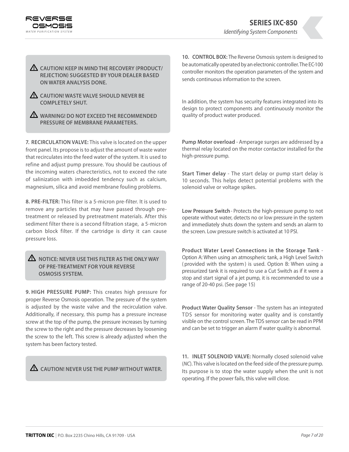

**CAUTION! KEEP IN MIND THE RECOVERY (PRODUCT/ REJECTION) SUGGESTED BY YOUR DEALER BASED ON WATER ANALYSIS DONE.**

- **CAUTION! WASTE VALVE SHOULD NEVER BE COMPLETELY SHUT.**
- **WARNING! DO NOT EXCEED THE RECOMMENDED PRESSURE OF MEMBRANE PARAMETERS.**

**7. RECIRCULATION VALVE:** This valve is located on the upper front panel. Its propose is to adjust the amount of waste water that recirculates into the feed water of the system. It is used to refine and adjust pump pressure. You should be cautious of the incoming waters charecteristics, not to exceed the rate of salinization with imbedded tendency such as calcium, magnesium, silica and avoid membrane fouling problems.

**8. PRE-FILTER:** This filter is a 5-micron pre-filter. It is used to remove any particles that may have passed through pretreatment or released by pretreatment materials. After this sediment filter there is a second filtration stage, a 5-micron carbon block filter. If the cartridge is dirty it can cause pressure loss.

## **NOTICE: NEVER USE THIS FILTER AS THE ONLY WAY OF PRE-TREATMENT FOR YOUR REVERSE OSMOSIS SYSTEM.**

**9. HIGH PRESSURE PUMP:** This creates high pressure for proper Reverse Osmosis operation. The pressure of the system is adjusted by the waste valve and the recirculation valve. Additionally, if necessary, this pump has a pressure increase screw at the top of the pump, the pressure increases by turning the screw to the right and the pressure decreases by loosening the screw to the left. This screw is already adjusted when the system has been factory tested.

**CAUTION! NEVER USE THE PUMP WITHOUT WATER.**

**10. CONTROL BOX:** The Reverse Osmosis system is designed to be automatically operated by an electronic controller. The EC-100 controller monitors the operation parameters of the system and sends continuous information to the screen.

In addition, the system has security features integrated into its design to protect components and continuously monitor the quality of product water produced.

**Pump Motor overload** - Amperage surges are addressed by a thermal relay located on the motor contactor installed for the high-pressure pump.

**Start Timer delay** - The start delay or pump start delay is 10 seconds. This helps detect potential problems with the solenoid valve or voltage spikes.

**Low Pressure Switch** - Protects the high-pressure pump to not operate without water, detects no or low pressure in the system and immediately shuts down the system and sends an alarm to the screen. Low pressure switch is activated at 10 PSI.

**Product Water Level Connections in the Storage Tank** - Option A: When using an atmospheric tank, a High Level Switch ( provided with the system ) is used. Option B: When using a pressurized tank it is required to use a Cut Switch as if it were a stop and start signal of a jet pump, it is recommended to use a range of 20-40 psi. (See page 15)

**Product Water Quality Sensor** - The system has an integrated TDS sensor for monitoring water quality and is constantly visible on the control screen. The TDS sensor can be read in PPM and can be set to trigger an alarm if water quality is abnormal.

**11. INLET SOLENOID VALVE:** Normally closed solenoid valve (*NC*). This valve is located on the feed side of the pressure pump. Its purpose is to stop the water supply when the unit is not operating. If the power fails, this valve will close.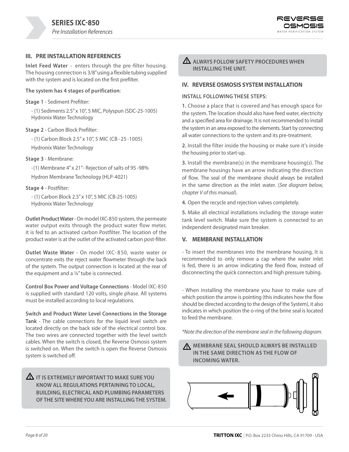

## **III. PRE INSTALLATION REFERENCES**

**Inlet Feed Water** - enters through the pre -filter housing. The housing connection is 3/8" using a flexible tubing supplied with the system and is located on the first prefilter.

#### **The system has 4 stages of purification**:

**Stage 1** - Sediment Prefilter:

- (1) Sediments 2.5" x 10", 5 MIC, Polyspun (SDC-25-1005) Hydronix Water Technology

#### **Stage 2** - Carbon Block Prefilter:

- (1) Carbon Block 2.5" x 10", 5 MIC (CB - 25 -1005)

Hydronix Water Technology

#### **Stage 3** - Membrane:

- (1) Membrane 4" x 21"- Rejection of salts of 95 -98%

Hydron Membrane Technology (HLP-4021)

#### **Stage 4** - Postfilter:

- (1) Carbon Block 2.5" x 10", 5 MIC (CB-25-1005) Hydronix Water Technology

**Outlet Product Water** - On model IXC-850 system, the permeate water output exits through the product water flow meter, it is fed to an activated carbon Postfilter. The location of the product water is at the outlet of the activated carbon post-filter.

**Outlet Waste Water** - On model IXC- 8 50, waste water or concentrate exits the reject water flowmeter through the back of the system. The output connection is located at the rear of the equipment and a 1/4" tube is connected.

**Control Box Power and Voltage Connections** - Model IXC-850 is supplied with standard 120 volts, single phase. All systems must be installed according to local regulations.

**Switch and Product Water Level Connections in the Storage Tank** - The cable connections for the liquid level switch are located directly on the back side of the electrical control box. The two wires are connected together with the level switch cables. When the switch is closed, the Reverse Osmosis system is switched on. When the switch is open the Reverse Osmosis system is switched off.

**IT IS EXTREMELY IMPORTANT TO MAKE SURE YOU KNOW ALL REGULATIONS PERTAINING TO LOCAL, BUILDING, ELECTRICAL AND PLUMBING PARAMETERS OF THE SITE WHERE YOU ARE INSTALLING THE SYSTEM.**  **ALWAYS FOLLOW SAFETY PROCEDURES WHEN INSTALLING THE UNIT.**

## **IV. REVERSE OSMOSIS SYSTEM INSTALLATION**

#### **INSTALL FOLLOWING THESE STEPS:**

**1.** Choose a place that is covered and has enough space for the system. The location should also have feed water, electricity and a specified area for drainage. It is not recommended to install the system in an area exposed to the elements. Start by connecting all water connections to the system and its pre-treatment.

**2.** Install the filter inside the housing or make sure it's inside the housing prior to start-up.

**3.** Install the membrane(s) in the membrane housing(*s*). The membrane housings have an arrow indicating the direction of flow. The seal of the membrane should always be installed in the same direction as the inlet water. (*See diagram below, chapter V of this manual*).

**4.** Open the recycle and rejection valves completely.

**5.** Make all electrical installations including the storage water tank level switch. Make sure the system is connected to an independent designated main breaker.

### **V. MEMBRANE INSTALLATION**

- To insert the membranes into the membrane housing, It is recommended to only remove a cap where the water inlet is fed, there is an arrow indicating the feed flow, instead of disconnecting the quick connectors and high pressure tubing.

- When installing the membrane you have to make sure of which position the arrow is pointing (this indicates how the flow should be directed according to the design of the System), it also indicates in which position the o-ring of the brine seal is located to feed the membrane.

*\*Note the direction of the membrane seal in the following diagram.*



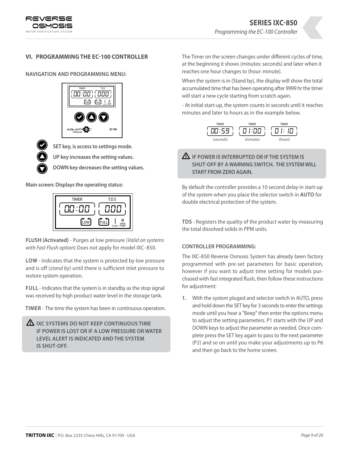

## **VI. PROGRAMMING THE EC-100 CONTROLLER**

**NAVIGATION AND PROGRAMMING MENU:**





 **UP key increases the setting values.**

 **DOWN key decreases the setting values.**

**Main screen: Displays the operating status:**



**FLUSH (Activated)** - Purges at low pressure (*Valid on systems with Fast Flush option*) Does not apply for model IXC - 850.

**LOW** - Indicates that the system is protected by low pressure and is off (*stand by*) until there is sufficient inlet pressure to restore system operation.

**FULL** - Indicates that the system is in standby as the stop signal was received by high product water level in the storage tank.

**TIMER** - The time the system has been in continuous operation.

| $\Delta$ IXC SYSTEMS DO NOT KEEP CONTINUOUS TIME |
|--------------------------------------------------|
| IF POWER IS LOST OR IF A LOW PRESSURE OR WATER   |
| LEVEL ALERT IS INDICATED AND THE SYSTEM          |
| <b>IS SHUT-OFF.</b>                              |

The Timer on the screen changes under different cycles of time, at the beginning it shows (minutes: seconds) and later when it reaches one hour changes to (hour: minute).

When the system is in (Stand by), the display will show the total accumulated time that has been operating after 9999 hr the timer will start a new cycle starting from scratch again.

- At initial start-up, the system counts in seconds until it reaches minutes and later to hours as in the example below.



## **IF POWER IS INTERRUPTED OR IF THE SYSTEM IS SHUT-OFF BY A WARNING SWITCH. THE SYSTEM WILL START FROM ZERO AGAIN.**

By default the controller provides a 10 second delay in start-up of the system when you place the selector switch in **AUTO** for double electrical protection of the system.

**TDS** - Registers the quality of the product water by measuring the total dissolved solids in PPM units.

## **CONTROLLER PROGRAMMING:**

The IXC-850 Reverse Osmosis System has already been factory programmed with pre-set parameters for basic operation, however if you want to adjust time setting for models purchased with fast integrated flush, then follow these instructions for adjustment:

**1.** With the system pluged and selector switch in AUTO, press and hold down the SET key for 3 seconds to enter the settings mode until you hear a "Beep" then enter the options menu to adjust the setting parameters. P1 starts with the UP and DOWN keys to adjust the parameter as needed. Once complete press the SET key again to pass to the next parameter (P2) and so on until you make your adjustments up to P6 and then go back to the home screen.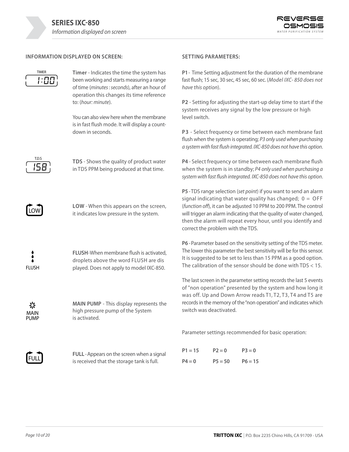

## **INFORMATION DISPLAYED ON SCREEN:**

$$
\begin{array}{c}\n\overline{\text{TIMER}} \\
\overline{\hspace{1cm}}\hspace{1cm}\overline{\hspace{1cm}}\hspace{1cm}}\hspace{1cm}\overline{\hspace{1cm}}\hspace{1cm}}\hspace{1cm}\overline{\hspace{1cm}}\hspace{1cm}\overline{\hspace{1cm}}\hspace{1cm}}\hspace{1cm}\overline{\hspace{1cm}}\hspace{1cm}}\hspace{1cm}\end{array}
$$

**Timer** - Indicates the time the system has been working and starts measuring a range of time (*minutes : seconds*), after an hour of operation this changes its time reference to: (*hour: minute*).

You can also view here when the membrane is in fast flush mode. It will display a countdown in seconds.



**TDS** - Shows the quality of product water in TDS PPM being produced at that time.



**LOW** - When this appears on the screen, it indicates low pressure in the system.



**FLUSH**- When membrane flush is activated, droplets above the word FLUSH are dis played. Does not apply to model IXC-850.

☆ MAIN PUMP **MAIN PUMP** - This display represents the high pressure pump of the System is activated.



**FULL** - Appears on the screen when a signal is received that the storage tank is full.

## **SETTING PARAMETERS:**

**P1** -Time Setting adjustment for the duration of the membrane fast flush; 15 sec, 30 sec, 45 sec, 60 sec. (*Model IXC- 850 does not have this option*).

**P2** - Setting for adjusting the start-up delay time to start if the system receives any signal by the low pressure or high level switch.

**P3** - Select frequency or time between each membrane fast flush when the system is operating; *P3 only used when purchasing a system with fast flush integrated. IXC-850 does not have this option*.

**P4** - Select frequency or time between each membrane flush when the system is in standby; *P4 only used when purchasing a system with fast flush integrated. IXC-850 does not have this option*.

**P5** -TDS range selection (*set point*) if you want to send an alarm signal indicating that water quality has changed;  $0 =$  OFF (*function off*), it can be adjusted 10 PPM to 200 PPM. The control will trigger an alarm indicating that the quality of water changed, then the alarm will repeat every hour, until you identify and correct the problem with the TDS.

**P6** -Parameter based on the sensitivity setting of the TDS meter. The lower this parameter the best sensitivity will be for this sensor. It is suggested to be set to less than 15 PPM as a good option. The calibration of the sensor should be done with TDS < 15.

The last screen in the parameter setting records the last 5 events of "non operation" presented by the system and how long it was off. Up and Down Arrow reads T1, T2, T3, T4 and T5 are records in the memory of the "non operation" and indicates which switch was deactivated.

Parameter settings recommended for basic operation:

| $P1 = 15$ | $P2 = 0$  | $P3=0$    |
|-----------|-----------|-----------|
| $P4 = 0$  | $P5 = 50$ | $P6 = 15$ |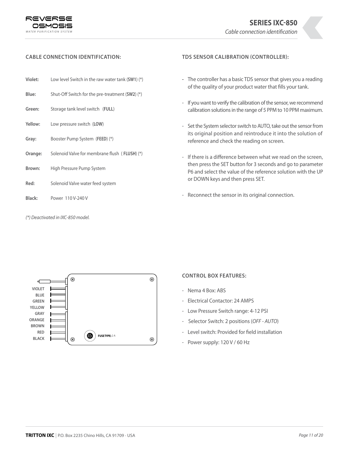



#### **CABLE CONNECTION IDENTIFICATION:**

- **Violet:** Low level Switch in the raw water tank (**SW1**) (\*)
- **Blue:** Shut-Off Switch for the pre-treatment (**SW2**) (\*)
- **Green:** Storage tank level switch (**FULL**)
- **Yellow:** Low pressure switch (**LOW**)
- **Gray:** Booster Pump System (**FEED**) (\*)
- **Orange:** Solenoid Valve for membrane flush ( **FLUSH**) (\*)
- **Brown:** High Pressure Pump System
- **Red:** Solenoid Valve water feed system
- **Black:** Power 110 V-240 V

*(\*) Deactivated in IXC-850 model.*

#### **TDS SENSOR CALIBRATION (CONTROLLER):**

- **-** The controller has a basic TDS sensor that gives you a reading of the quality of your product water that fills your tank.
- If you want to verify the calibration of the sensor, we recommend calibration solutions in the range of 5 PPM to 10 PPM maximum.
- Set the System selector switch to AUTO, take out the sensor from its original position and reintroduce it into the solution of reference and check the reading on screen.
- If there is a difference between what we read on the screen, then press the SET button for 3 seconds and go to parameter P6 and select the value of the reference solution with the UP or DOWN keys and then press SET.
- Reconnect the sensor in its original connection.



#### **CONTROL BOX FEATURES:**

- Nema 4 Box: ABS
- Electrical Contactor: 24 AMPS
- Low Pressure Switch range: 4-12 PSI
- Selector Switch: 2 positions (*OFF AUTO*)
- Level switch: Provided for field installation
- Power supply: 120 V / 60 Hz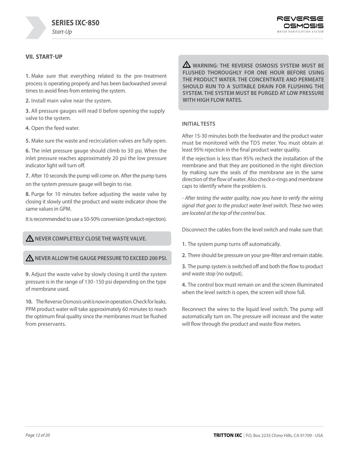

## **VII. START-UP**

**1.** Make sure that everything related to the pre-treatment process is operating properly and has been backwashed several times to avoid fines from entering the system.

**2.** Install main valve near the system.

**3.** All pressure gauges will read 0 before opening the supply valve to the system.

**4.** Open the feed water.

**5.** Make sure the waste and recirculation valves are fully open.

**6.** The inlet pressure gauge should climb to 30 psi. When the inlet pressure reaches approximately 20 psi the low pressure indicator light will turn off.

**7.** After 10 seconds the pump will come on. After the pump turns on the system pressure gauge will begin to rise.

**8.** Purge for 10 minutes before adjusting the waste valve by closing it slowly until the product and waste indicator show the same values in GPM.

It is recommended to use a 50-50% conversion (product-rejection).

## **A** NEVER COMPLETELY CLOSE THE WASTE VALVE.

**NEVER ALLOW THE GAUGE PRESSURE TO EXCEED 200 PSI.**

**9.** Adjust the waste valve by slowly closing it until the system pressure is in the range of 130 -150 psi depending on the type of membrane used.

**10.** The Reverse Osmosis unit is now in operation. Check for leaks. PPM product water will take approximately 60 minutes to reach the optimum final quality since the membranes must be flushed from preservants.

**WARNING: THE REVERSE OSMOSIS SYSTEM MUST BE FLUSHED THOROUGHLY FOR ONE HOUR BEFORE USING THE PRODUCT WATER. THE CONCENTRATE AND PERMEATE SHOULD RUN TO A SUITABLE DRAIN FOR FLUSHING THE SYSTEM. THE SYSTEM MUST BE PURGED AT LOW PRESSURE WITH HIGH FLOW RATES.**

#### **INITIAL TESTS**

After 15-30 minutes both the feedwater and the product water must be monitored with the TDS meter. You must obtain at least 95% rejection in the final product water quality.

If the rejection is less than 95% recheck the installation of the membrane and that they are positioned in the right direction by making sure the seals of the membrane are in the same direction of the flow of water. Also check o-rings and membrane caps to identify where the problem is.

*- After testing the water quality, now you have to verify the wiring signal that goes to the product water level switch. These two wires are located at the top of the control box.*

Disconnect the cables from the level switch and make sure that:

- **1.** The system pump turns off automatically.
- **2.** There should be pressure on your pre-filter and remain stable.

**3.** The pump system is switched off and both the flow to product and waste stop (no output).

**4.** The control box must remain on and the screen illuminated when the level switch is open, the screen will show full.

Reconnect the wires to the liquid level switch. The pump will automatically turn on. The pressure will increase and the water will flow through the product and waste flow meters.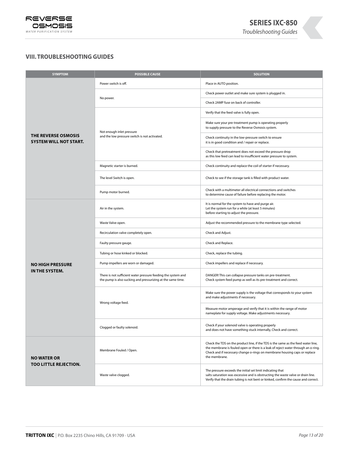

## **VIII. TROUBLESHOOTING GUIDES**

| <b>SYMPTOM</b>                                              | <b>POSSIBLE CAUSE</b>                                                                                                        | <b>SOLUTION</b>                                                                                                                                                                                                                                                      |
|-------------------------------------------------------------|------------------------------------------------------------------------------------------------------------------------------|----------------------------------------------------------------------------------------------------------------------------------------------------------------------------------------------------------------------------------------------------------------------|
|                                                             | Power switch is off.                                                                                                         | Place in AUTO position.                                                                                                                                                                                                                                              |
|                                                             | No power.                                                                                                                    | Check power outlet and make sure system is plugged in.                                                                                                                                                                                                               |
|                                                             |                                                                                                                              | Check 2AMP fuse on back of controller.                                                                                                                                                                                                                               |
|                                                             | Not enough inlet pressure<br>and the low pressure switch is not activated.                                                   | Verify that the feed valve is fully open.                                                                                                                                                                                                                            |
|                                                             |                                                                                                                              | Make sure your pre-treatment pump is operating properly<br>to supply pressure to the Reverse Osmosis system.                                                                                                                                                         |
| <b>THE REVERSE OSMOSIS</b><br><b>SYSTEM WILL NOT START.</b> |                                                                                                                              | Check continuity in the low-pressure switch to ensure<br>it is in good condition and / repair or replace.                                                                                                                                                            |
|                                                             |                                                                                                                              | Check that pretreatment does not exceed the pressure drop<br>as this low feed can lead to insufficient water pressure to system.                                                                                                                                     |
|                                                             | Magnetic starter is burned.                                                                                                  | Check continuity and replace the coil of starter if necessary.                                                                                                                                                                                                       |
|                                                             | The level Switch is open.                                                                                                    | Check to see if the storage tank is filled with product water.                                                                                                                                                                                                       |
|                                                             | Pump motor burned.                                                                                                           | Check with a multimeter all electrical connections and switches<br>to determine cause of failure before replacing the motor.                                                                                                                                         |
|                                                             | Air in the system.                                                                                                           | It is normal for the system to have and purge air.<br>Let the system run for a while (at least 5 minutes)<br>before starting to adjust the pressure.                                                                                                                 |
|                                                             | Waste Valve open.                                                                                                            | Adjust the recommended pressure to the membrane type selected.                                                                                                                                                                                                       |
|                                                             | Recirculation valve completely open.                                                                                         | Check and Adjust.                                                                                                                                                                                                                                                    |
|                                                             | Faulty pressure gauge.                                                                                                       | Check and Replace.                                                                                                                                                                                                                                                   |
|                                                             | Tubing or hose kinked or blocked.                                                                                            | Check, replace the tubing.                                                                                                                                                                                                                                           |
| <b>NO HIGH PRESSURE</b>                                     | Pump impellers are worn or damaged.                                                                                          | Check impellers and replace if necessary.                                                                                                                                                                                                                            |
| IN THE SYSTEM.                                              | There is not sufficient water pressure feeding the system and<br>the pump is also sucking and pressurizing at the same time. | DANGER! This can collapse pressure tanks on pre-treatment.<br>Check system feed pump as well as its pre-treatment and correct.                                                                                                                                       |
|                                                             | Wrong voltage feed.                                                                                                          | Make sure the power supply is the voltage that corresponds to your system<br>and make adjustments if necessary.                                                                                                                                                      |
|                                                             |                                                                                                                              | Measure motor amperage and verify that it is within the range of motor<br>nameplate for supply voltage. Make adjustments necessary.                                                                                                                                  |
|                                                             | Clogged or faulty solenoid.                                                                                                  | Check if your solenoid valve is operating properly<br>and does not have something stuck internally, Check and correct.                                                                                                                                               |
| <b>NO WATER OR</b><br><b>TOO LITTLE REJECTION.</b>          | Membrane Fouled / Open.                                                                                                      | Check the TDS on the product line, if the TDS is the same as the feed water line,<br>the membrane is fouled open or there is a leak of reject water through an o-ring.<br>Check and if necessary change o-rings on membrane housing caps or replace<br>the membrane. |
|                                                             | Waste valve clogged.                                                                                                         | The pressure exceeds the initial set limit indicating that<br>salts saturation was excessive and is obstructing the waste valve or drain line.<br>Verify that the drain tubing is not bent or kinked, confirm the cause and correct.                                 |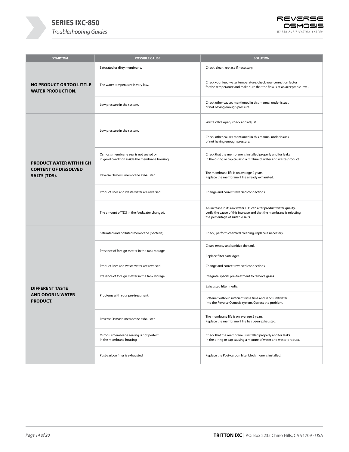



| <b>SYMPTOM</b>                                              | <b>POSSIBLE CAUSE</b>                                                                                                   | <b>SOLUTION</b>                                                                                                                                                                |
|-------------------------------------------------------------|-------------------------------------------------------------------------------------------------------------------------|--------------------------------------------------------------------------------------------------------------------------------------------------------------------------------|
|                                                             | Saturated or dirty membrane.                                                                                            | Check, clean, replace if necessary.                                                                                                                                            |
| <b>NO PRODUCT OR TOO LITTLE</b><br><b>WATER PRODUCTION.</b> | The water temperature is very low.                                                                                      | Check your feed water temperature, check your correction factor<br>for the temperature and make sure that the flow is at an acceptable level.                                  |
|                                                             | Low pressure in the system.                                                                                             | Check other causes mentioned in this manual under issues<br>of not having enough pressure.                                                                                     |
|                                                             | Low pressure in the system.<br>Osmosis membrane seal is not seated or<br>in good condition inside the membrane housing. | Waste valve open, check and adjust.                                                                                                                                            |
|                                                             |                                                                                                                         | Check other causes mentioned in this manual under issues<br>of not having enough pressure.                                                                                     |
| <b>PRODUCT WATER WITH HIGH</b>                              |                                                                                                                         | Check that the membrane is installed properly and for leaks<br>in the o-ring or cap causing a mixture of water and waste-product.                                              |
| <b>CONTENT OF DISSOLVED</b><br><b>SALTS (TDS).</b>          | Reverse Osmosis membrane exhausted.                                                                                     | The membrane life is on average 2 years.<br>Replace the membrane if life already exhausted.                                                                                    |
|                                                             | Product lines and waste water are reversed.                                                                             | Change and correct reversed connections.                                                                                                                                       |
|                                                             | The amount of TDS in the feedwater changed.                                                                             | An increase in its raw water TDS can alter product water quality,<br>verify the cause of this increase and that the membrane is rejecting<br>the percentage of suitable salts. |
| Saturated and polluted membrane (bacteria).                 |                                                                                                                         | Check, perform chemical cleaning, replace if necessary.                                                                                                                        |
|                                                             |                                                                                                                         | Clean, empty and sanitize the tank.                                                                                                                                            |
|                                                             | Presence of foreign matter in the tank storage.                                                                         | Replace filter cartridges.                                                                                                                                                     |
|                                                             | Product lines and waste water are reversed.                                                                             | Change and correct reversed connections.                                                                                                                                       |
|                                                             | Presence of foreign matter in the tank storage.                                                                         | Integrate special pre-treatment to remove gases.                                                                                                                               |
| <b>DIFFERENT TASTE</b>                                      | Problems with your pre-treatment.                                                                                       | Exhausted filter media.                                                                                                                                                        |
| <b>AND ODOR IN WATER</b><br><b>PRODUCT.</b>                 |                                                                                                                         | Softener without sufficient rinse time and sends saltwater<br>into the Reverse Osmosis system. Correct the problem.                                                            |
|                                                             | Reverse Osmosis membrane exhausted.                                                                                     | The membrane life is on average 2 years.<br>Replace the membrane if life has been exhausted.                                                                                   |
|                                                             | Osmosis membrane sealing is not perfect<br>in the membrane housing.                                                     | Check that the membrane is installed properly and for leaks<br>in the o-ring or cap causing a mixture of water and waste-product.                                              |
|                                                             | Post-carbon filter is exhausted.                                                                                        | Replace the Post-carbon filter block if one is installed.                                                                                                                      |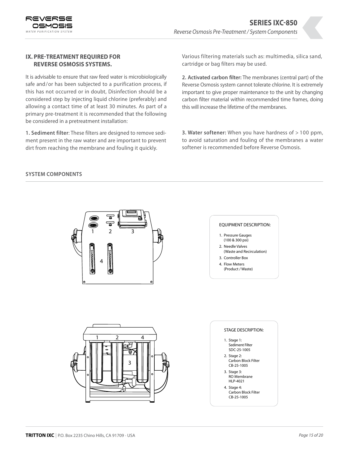

## **IX. PRE-TREATMENT REQUIRED FOR REVERSE OSMOSIS SYSTEMS.**

It is advisable to ensure that raw feed water is microbiologically safe and/or has been subjected to a purification process, if this has not occurred or in doubt, Disinfection should be a considered step by injecting liquid chlorine (preferably) and allowing a contact time of at least 30 minutes. As part of a primary pre-treatment it is recommended that the following be considered in a pretreatment installation:

**1. Sediment filter**: These filters are designed to remove sediment present in the raw water and are important to prevent dirt from reaching the membrane and fouling it quickly.

Various filtering materials such as: multimedia, silica sand, cartridge or bag filters may be used.

**2. Activated carbon filter:** The membranes (central part) of the Reverse Osmosis system cannot tolerate chlorine. It is extremely important to give proper maintenance to the unit by changing carbon filter material within recommended time frames, doing this will increase the lifetime of the membranes.

**3. Water softener:** When you have hardness of > 100 ppm, to avoid saturation and fouling of the membranes a water softener is recommended before Reverse Osmosis.

### **SYSTEM COMPONENTS**











- Carbon Block Filter CB-25-1005
- 3. Stage 3: RO Membrane HLP-4021
- 4. Stage 4: Carbon Block Filter CB-25-1005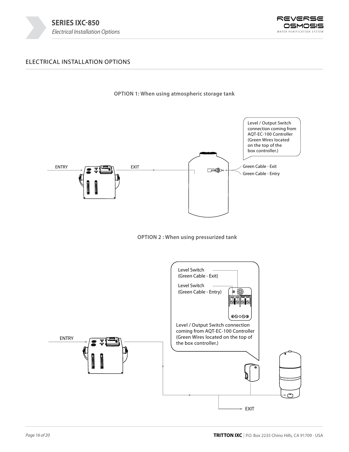



## ELECTRICAL INSTALLATION OPTIONS



**OPTION 1: When using atmospheric storage tank**



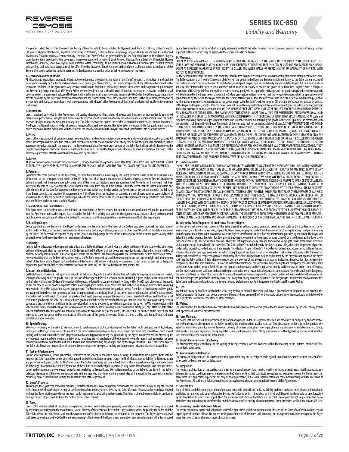REVERSE OSMOSIS *WATER PURIFICATION SYSTEM*

Ultraviolet, Hydron Membranes, Aquatrol, Shok Blok, HydroGuard, Hydronix Water Technology, any of its subsidiaries and its authorized<br>distributors.This offer and its acceptance by any customer (the "Buyer") shall be qovern order for any item described in this document, when communicated to Hydrofit Quick Connect Fittings, Polaris Scientific Ultraviolet, Hydron<br>Membranes, Aquatrol, Shok Blok, HydroGuard, Hydronix Water Technology, its subsida Buyer's offer unless such offer contains variances in the description, quantity, price, or delivery schedule of the items.

**1. Terms and Conditions of Sale.**<br>All descriptions, proposals, offers, acknowledgments, acceptances and sales of the Seller's products are subject to and shall be<br>governed exclusions, proposals, offers, acknowledgments, a

#### **2. Documents.**

Desaments.<br>Iless provided otherwise in the Agreement, all catalog descriptions, illustrations, drawings and literature or independently submitted estimates of performance, weights and measurements or other specifications provided by the Seller are mere approximations and the Seller<br>reserves the right to alter or amend them at any time. The Seller reserves the right priced or delivered not in accordance with the order or the specifications unless the Buyer's order and specifications are clear and correct.

#### **3. Prices.**

Unless otherwise provided, all prices contained in our quotations and written acceptances are ex-works and do not include the cost of packing. All orders are accepted on the condition that all such prices are subject to revision by the Seller at any time before the goods are dispatched to take<br>account of any price change. In the event that the Buyer does not place th delivery requirements after the order has been accepted by the Seller.

#### **4. Advice.**

All advice given in connection with the Seller's goods is provided without charge to the Buyer. ANY ADVICE AND ASSISTANCE GIVEN BY THE SELLER<br>TO THE BUYER IS GIVEN AT THE BUYER'S RISK, AND THE SELLER SHALL NOT BE LIABLE FO

#### **5. Payment.**

(a) Unless otherwise provided in the Agreement, or explicitly agreed upon in writing by the Seller, payment is due in full 30 days from date of shipment of the items purchased herein under. (b) In the case of an installment contract, deliveries or parts, payment for each installment<br>delivery or part shall be made under sub-clause (a) as if the same constituted interest at the rate of 2-1/2% above the Seller's bank's prime rate from time to time in force. (d) In the event that the Buyer fails within one<br>calendar month of the date for payment to effect any payment which may be due if the Buyer commits any breach of the Agreement, or if the Buyer becomes insolvent or commits any act of bankruptcy or contemplation of<br>liquidation, the Seller will be entitled, without prejudice to the Seller's other rig or at the Seller's option to make partial deliveries.

#### **6. Modifications and Cancellations.**

This Agreement is not subject to oral modification or cancellation. A Buyer's request for modification or cancellation will not be incorporated<br>into the Agreement unless the request is accepted by the Seller in a writing t

#### **7. Handling Charge.**

Goods supplied in accordance with the Buyer's order may later be returned to the Seller at the Seller's discretion provided the return is preauthorized in writing, and the merchandise is unused, in original packages, unaltered, clean and no older than 60 days from the date of shipment<br>by the Seller. The Buyer will be required to pay to the Seller a handling cha original invoice for the merchandise must accompany all returns.

**8. Delivery.**<br>(a) Any delivery dates quoted are approximate only and the Seller shall have no liability for any delays in delivery. (b) Unless provided otherwise,<br>(a) kny delivery of the goods shall be made when the Selle behalf of the Buyer and at Buyer's cost in which event the Seller shall be under no liability for damage in transit or loss or damage to the goods<br>beyond the point at which the Seller contracts to deliver the same. (c) The

**9. Inspection and Rejection.**<br>(a) The following provisions shall apply in relation to all deliveries of goods: the Seller shall not be held liable for any claims of damage in transit,<br>(a) The following provisions shall ap The Seller shall have the right to inspect the goods at the Buyer's premises in respect to any such claims made by the Buyer and the Buyer shall<br>retain such goods until the Seller has inspected such goods or until the Sell goods. Any breach of these conditions in this provision shall serve as a waiver to any claim brought by the buyer. (b) Without prejudice to the<br>Seller's other rights, should the Buyer fail for any reason to send the Seller dispatched and/or accepted.

#### **10. Special Tooling.**

Where it is necessary for the Seller to manufacture or to purchase special tooling, including without limitation tools, dies, jigs, mandrills, fixtures, molds, and patterns, in order to execute a contract, the Buyer will be charged with all or a proportion of the cost of such special tools. Such special<br>tooling shall be and remain the Seller's property notwithstanding paym the Seller shall have the right to alter, discard or otherwise dispose of any special tooling or other property in its sole discretion at any time.

#### **11. Test and Performance.**

(a) The Seller's goods are, where practicable, submitted to the Seller's standard test before delivery. If special tests are required, these shall be made at the Seller's premises unless otherwise agreed, and will be subject to an extra charge. (b) The Seller accepts no liability for failure to attain<br>any performance figures quoted by the Seller unless the Seller specif power and consumption, power output or performance relating to the goods and like matters furnished by the Seller to the Buyer in the Seller's<br>catalogs, literature or otherwise, are approximate and are intended only to pre

#### **12. Buyer's Property.**

Any designs, tools, patterns, materials, drawings, confidential information or equipment furnished to the Seller by the Buyer, or any other items which become the Buyer's property, may be considered obsolete and may be destroyed by the Seller after two (2) consecutive years have elapsed<br>without the Buyer placing an order for the items which are manufactured using su damage to such property while it is in the Seller's possession or control.

#### **13. Taxes.**

Unless otherwise indicated, all prices and charges are exclusive of excise, sales, use, property, occupational or like taxes which may be imposed<br>by any taxing authority upon the manufacture, sale or delivery of the items Seller is liable for the collection of such tax, the amount thereof shall be in addition to the amounts for the item sold. The Buyer agrees to pay all<br>such taxes or to reimburse the Seller therefore upon receipt of its inv

The products described in this document are hereby offered for sale to be established by Hydrofit Quick Connect Fittings, Polaris Scientific by any taxing authority, the Buyer shall promptly indemnify and hold the Seller h or penalties thereon which may be assessed if the items are held to be taxable.

**14. Warranty.**  EXCEPT AS EXPRESSLY WARRANTED IN WRITING BY THE SELLER, THE GOODS SOLD BY THE SELLER ARE PURCHASED BY THE BUYER "AS IS." THE SELLER DOES NOT WARRANT THAT THE GOODS ARE OF MERCHANTABLE QUALITY OR THAT THEY CAN BE USED FOR ANY PARTICULAR PURPOSE.<br>EXCEPT AS EXPRESSLY WARRANTED IN WRITING BY THE SELLER, THE SELLER MAKES NO REPRESENTATION OR WARRANTY RESPECT TO THE PRODUCTS.<br>(a) The Seller warrants that the items sold hereunder shall be free from defects in material or workmanship at the time of shipment by the Seller.

(a) The Seller warrants that the items sold hereunder shall be free from defects in material or workmanship at the infer of shipment by the Seller.<br>The Seller warrants that if within 11 months of delivery of the goods to t of the Buyer or its agents; and (iv) that the defect was not caused by any matter beyond the reasonable control of the Seller, including, without<br>limitation, accident or normal wear and tear, (b) THIS WARRANTY DOES NOT APP expenses, including freight charges, customs duties, and insurance incurred in returning the goods to the Seller's premises in accordance with<br>this provision shall be paid by the Buyer. The benefit of this warranty shall n TO ANY GOODS NOT MANUFACTURED BY THE SELLER EVEN THOUGH SUPPLIED BY THE SELLER NOR DOES IT EXTEND TO ANY SECOND-HAND OR<br>RECONDITIONED GOODS NOR DOES IT EXTEND TO COMPONENTS MANUFACTURED BY THE SELLER BUT INSTALLED, ATTACHE BUYER OR HIS CUSTOMER ON EQUIPMENT NOT MANUFACTURED BY THE SELLER. GOODS NOT MANUFACTURED BY THE SELLER CARRY ONLY THE WARRANTY (IF ANY) OF THEIR MAKERS AND THE BUYER IS ENTITLED TO THE BENEFIT THEREOF ONLY SO FAR AS THE SELLER HAS THE POWER<br>TO TRANSFER IT. (E) THIS WARRANTY COMPRISES THE SOLE AND ENTIRE WARRANTY PERTAINING TO ITEMS PROVID MAKES NO OTHER WARRANTY, GUARANTEE, OR REPRESENTATION OF ANY KIND WHATSOEVER. ALL OTHER WARRANTIES, INCLUDING BUT NOT LIMITED TO MERCHANTABILITY AND FITNESS FOR PURPOSE, WHETHER EXPRESSED OR IMPLIED, OR ARISING BY OPERATION OF LAW, TRADE USAGE, OR COURSE OF DEALING, ARE HEREBY DISCLAIMED. (f) NOTWITHSTANDING THE FOREGOING, THERE ARE NO WARRANTIES WHATSOEVER ON ITEMS<br>BUILT OR ACQUIRED WHOLLY OR PARTIALLY TO THE BUYER'S DESIGNS OR SPECIFICATIONS.

15. Limited Remedy.<br>THE SELLER'S LIABILITY ARISING FROM OR IN ANY WAY CONNECTED WITH THE ITEMS SOLD OR THIS AGREEMENT SHALL BE LIMITED EXCLUSIVELY<br>TO REPAIR OR REPLACEMENT OF THE ITEMS SOLD. IN NO EVENT SHALL THE SELLER BE CONTRACT, EXPRESS OR IMPLIED WARRANTY, OR IN TORT, INCLUDING WITHOUT LIMITATION, NEGLIGENCE, FAILURE TO WARN OR STRICT LIABILITY.<br>IN NO EVENT SHALL THE SELLER BE LIABLE TO THE BUYER OR ANY OTHER ENTITY FOR MORE THAN THE IN ANY NON-CONFORMING PRODUCTS. THE SELLER SHALL NOT BE LIABLE TO THE BUYER OR ANY OTHER ENTITY FOR PERSONAL INJURY, PROPERTY<br>DAMAGE, OR ANY DIRECT, INDIRECT, SPECIAL, INCIDENTAL, CONSEQUENTIAL, PUNITIVE, EXEMPLARY, SPECIAL, THE INTERRUPTION OF BUSINESS, HOWEVER CAUSED. THE SELLER SHALL NOT BE LIABLE TO THE BUYER OR ANY OTHER ENTITY ON ANY THEORY OF<br>LIABILITY INCLUDING WITHOUT LIMITATION BREACH OF CONTRACT OR EXPRESS OR IMPLIED WARRANTY, TORT, OR STRICT LIABILITY, AND WHETHER OR NOT THE SELLER HAS BEEN ADVISED OF THE POSSIBILITY OF SUCH DAMAGES. THE ESSENTIAL PURPOSE OF THIS PROVISION IS TO LIMIT THE LIABILITY OF THE SELLER ARISING OUT OF THE SALE OF PRODUCTS TO THE BUYER WHETHER FOR BREACH OF CONTRACT, NEGLIGENCE, OR ANY OTHER THEORY OF LIABILITY. THESE LIMITATIONS SHALL APPLY NOTWITHSTANDING ANY FAILURE OF ESSENTIAL<br>PURPOSE OF ANY LIMITED REMEDY AND NOTWITHSTANDING THE PROVISIONS OF ANY OTHER AGREEMENT BETWEEN

**16. Indemnity for Infringement of Intellectual Property Rights.**<br>(a) The Buyer shall defend and indemnify the Seller against all actions, claims, demands, penalties and costs by third parties in tort, or for<br>Infringement, defend any action against the Seller for title, patent, trademark, copyright infringement, or other claimed by a third party at the Buyer's sole<br>cost and expense. (b) The Seller shall have no liability for infringement of similar rights except as provided in this provision. The Seller will defend and indemnify the Buyer against allegations of infringement of patents,<br>trademarks, copyrights, trade dres and trade secrets ("Intellectual Proper infringes the Intellectual Property Rights of a third party. The Seller's obligation to defend and indemnify the Buyer is contingent on the Buyer<br>notifying the Seller within 10 days after sole control over the defense of a compromise. If an item sold hereunder is subject to a claim that it infringes the Intellectual Property Rights of a third party, the Seller may, at its<br>sole expense and option, procure for the Buyer the right to continue u or offer to accept return of said item and return the purchase price less a reasonable allowance for depreciation. Notwithstanding the foregoing,<br>the Seller shall have no liability for claims of infringement based on infor

#### **17. Lien.**

In addition to any right of lien to which the Seller may by law be entitled, the Seller shall have a general lien on all goods of the Buyer in the Seller's possession (although such goods or some of them may have been paid for) for the unpaid price of any other goods sold and delivered to the Buyer by the Seller under the same or other contracts.

#### **18. Waiver.**

The Seller's rights shall not be affected or restricted by any indulgence or forbearance granted to the Buyer. No waiver by the Seller of any breach shall operate as a waiver of any later breach.

#### **19. Force Majeure.**

The Seller shall be excused from performing any of its obligations under this Agreement which are prevented or delayed by any occurrence<br>not within the reasonable control of the Seller, including but not limited to, accide earthquakes, fire, riots, explosions, or any regulations, rules, ordinances or orders of any governmental authority, federal, state or local, whether<br>such cause exists at the date of the order or not.

**20. Buyer's Representation of Solvency.** The Buyer hereby represents that as of the signing of this Agreement it was not insolvent within the meaning of the Uniform Commercial Code or any Bankruptcy Laws.

#### **21. Assignment and Delegation.**

The rights and obligations of the parties under this Agreement may not be assigned or delegated, except on the express written consent of the other party to the assignment or delegation.

#### **22. Integration.**

The rights and obligations of the parties and the terms and conditions set forth herein, together with any amendments, modifications and any<br>different terms and conditions expressly accepted by the Seller in witing, shall this Agreement. All such materials may not be used to supplement, explain, or contradict the terms of this Agreement.

#### **23. Severability.**

If any of these conditions or any part thereof purports to exclude or restrict or limit any liability and such exclusion or estriction or limitation is<br>prohibited or rendered void or unenforceable by any legislation to whi by any legislation to which it is subject, then the exclusion, restriction or limitation on the condition or part thereof in question shall be so prohibited or rendered void or unenforceable and the validity or enforceability of any other part of these provisions shall not thereby be affected.

#### **24. Governing Law/Limitation on Actions.**

The terms, conditions, rights, and obligations under this Agreement shall be construed under the laws of the State of California, without regard to principles of conflicts of laws. No actions arising out of the sale of the items sold hereunder or this Agreement may be brought by the Buyer<br>more than two (2) years after such cause of action accrues.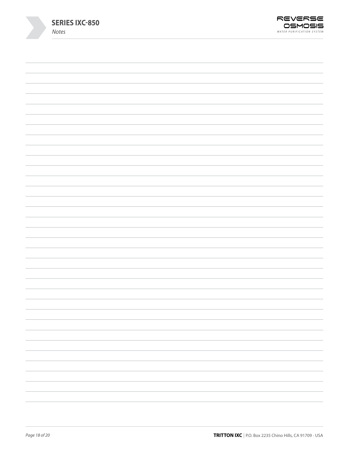| <b>SERIES IXC-850</b><br>Notes | REVERSE<br>OSMOSIS<br>WATER PURIFICATION SYSTEM |
|--------------------------------|-------------------------------------------------|
|                                |                                                 |
|                                |                                                 |
|                                |                                                 |
|                                |                                                 |
|                                |                                                 |
|                                |                                                 |
|                                |                                                 |
|                                |                                                 |
|                                |                                                 |
|                                |                                                 |
|                                |                                                 |
|                                |                                                 |
|                                |                                                 |
|                                |                                                 |
|                                |                                                 |
|                                |                                                 |
|                                |                                                 |
|                                |                                                 |
|                                |                                                 |
|                                |                                                 |
|                                |                                                 |